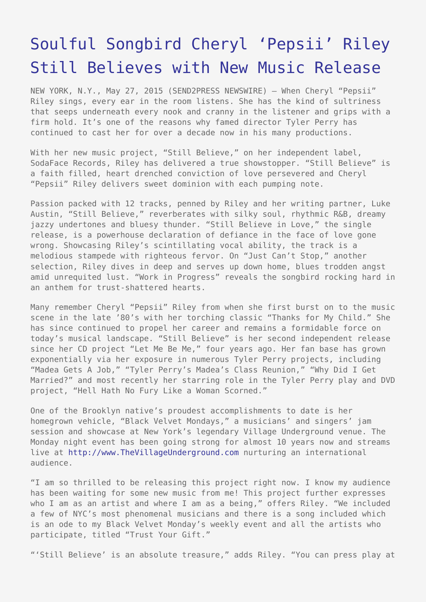## [Soulful Songbird Cheryl 'Pepsii' Riley](https://www.send2press.com/wire/soulful-songbird-cheryl-pepsii-riley-still-believes-with-new-music-release-2015-0527-02/) [Still Believes with New Music Release](https://www.send2press.com/wire/soulful-songbird-cheryl-pepsii-riley-still-believes-with-new-music-release-2015-0527-02/)

NEW YORK, N.Y., May 27, 2015 (SEND2PRESS NEWSWIRE) — When Cheryl "Pepsii" Riley sings, every ear in the room listens. She has the kind of sultriness that seeps underneath every nook and cranny in the listener and grips with a firm hold. It's one of the reasons why famed director Tyler Perry has continued to cast her for over a decade now in his many productions.

With her new music project, "Still Believe," on her independent label, SodaFace Records, Riley has delivered a true showstopper. "Still Believe" is a faith filled, heart drenched conviction of love persevered and Cheryl "Pepsii" Riley delivers sweet dominion with each pumping note.

Passion packed with 12 tracks, penned by Riley and her writing partner, Luke Austin, "Still Believe," reverberates with silky soul, rhythmic R&B, dreamy jazzy undertones and bluesy thunder. "Still Believe in Love," the single release, is a powerhouse declaration of defiance in the face of love gone wrong. Showcasing Riley's scintillating vocal ability, the track is a melodious stampede with righteous fervor. On "Just Can't Stop," another selection, Riley dives in deep and serves up down home, blues trodden angst amid unrequited lust. "Work in Progress" reveals the songbird rocking hard in an anthem for trust-shattered hearts.

Many remember Cheryl "Pepsii" Riley from when she first burst on to the music scene in the late '80's with her torching classic "Thanks for My Child." She has since continued to propel her career and remains a formidable force on today's musical landscape. "Still Believe" is her second independent release since her CD project "Let Me Be Me," four years ago. Her fan base has grown exponentially via her exposure in numerous Tyler Perry projects, including "Madea Gets A Job," "Tyler Perry's Madea's Class Reunion," "Why Did I Get Married?" and most recently her starring role in the Tyler Perry play and DVD project, "Hell Hath No Fury Like a Woman Scorned."

One of the Brooklyn native's proudest accomplishments to date is her homegrown vehicle, "Black Velvet Mondays," a musicians' and singers' jam session and showcase at New York's legendary Village Underground venue. The Monday night event has been going strong for almost 10 years now and streams live at<http://www.TheVillageUnderground.com>nurturing an international audience.

"I am so thrilled to be releasing this project right now. I know my audience has been waiting for some new music from me! This project further expresses who I am as an artist and where I am as a being," offers Riley. "We included a few of NYC's most phenomenal musicians and there is a song included which is an ode to my Black Velvet Monday's weekly event and all the artists who participate, titled "Trust Your Gift."

"'Still Believe' is an absolute treasure," adds Riley. "You can press play at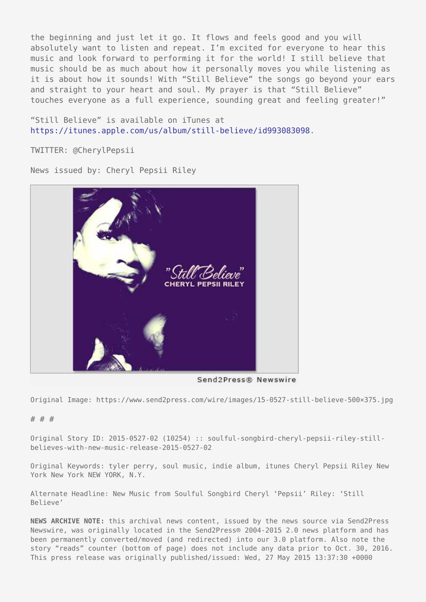the beginning and just let it go. It flows and feels good and you will absolutely want to listen and repeat. I'm excited for everyone to hear this music and look forward to performing it for the world! I still believe that music should be as much about how it personally moves you while listening as it is about how it sounds! With "Still Believe" the songs go beyond your ears and straight to your heart and soul. My prayer is that "Still Believe" touches everyone as a full experience, sounding great and feeling greater!"

"Still Believe" is available on iTunes at <https://itunes.apple.com/us/album/still-believe/id993083098>.

TWITTER: @CherylPepsii

News issued by: Cheryl Pepsii Riley



Send2Press® Newswire

Original Image: https://www.send2press.com/wire/images/15-0527-still-believe-500×375.jpg

## # # #

Original Story ID: 2015-0527-02 (10254) :: soulful-songbird-cheryl-pepsii-riley-stillbelieves-with-new-music-release-2015-0527-02

Original Keywords: tyler perry, soul music, indie album, itunes Cheryl Pepsii Riley New York New York NEW YORK, N.Y.

Alternate Headline: New Music from Soulful Songbird Cheryl 'Pepsii' Riley: 'Still Believe'

**NEWS ARCHIVE NOTE:** this archival news content, issued by the news source via Send2Press Newswire, was originally located in the Send2Press® 2004-2015 2.0 news platform and has been permanently converted/moved (and redirected) into our 3.0 platform. Also note the story "reads" counter (bottom of page) does not include any data prior to Oct. 30, 2016. This press release was originally published/issued: Wed, 27 May 2015 13:37:30 +0000